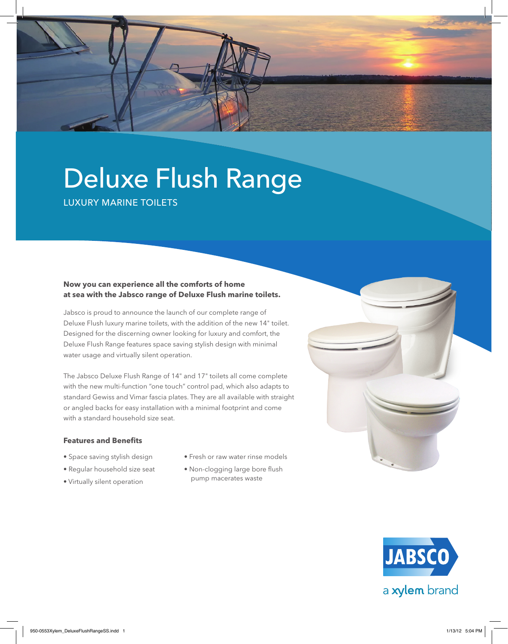

Luxury Marine Toilets

# **Now you can experience all the comforts of home at sea with the Jabsco range of Deluxe Flush marine toilets.**

Jabsco is proud to announce the launch of our complete range of Deluxe Flush luxury marine toilets, with the addition of the new 14" toilet. Designed for the discerning owner looking for luxury and comfort, the Deluxe Flush Range features space saving stylish design with minimal water usage and virtually silent operation.

The Jabsco Deluxe Flush Range of 14" and 17" toilets all come complete with the new multi-function "one touch" control pad, which also adapts to standard Gewiss and Vimar fascia plates. They are all available with straight or angled backs for easy installation with a minimal footprint and come with a standard household size seat.

## **Features and Benefits**

- Space saving stylish design
- Regular household size seat
- Virtually silent operation
- Fresh or raw water rinse models
- Non-clogging large bore flush pump macerates waste